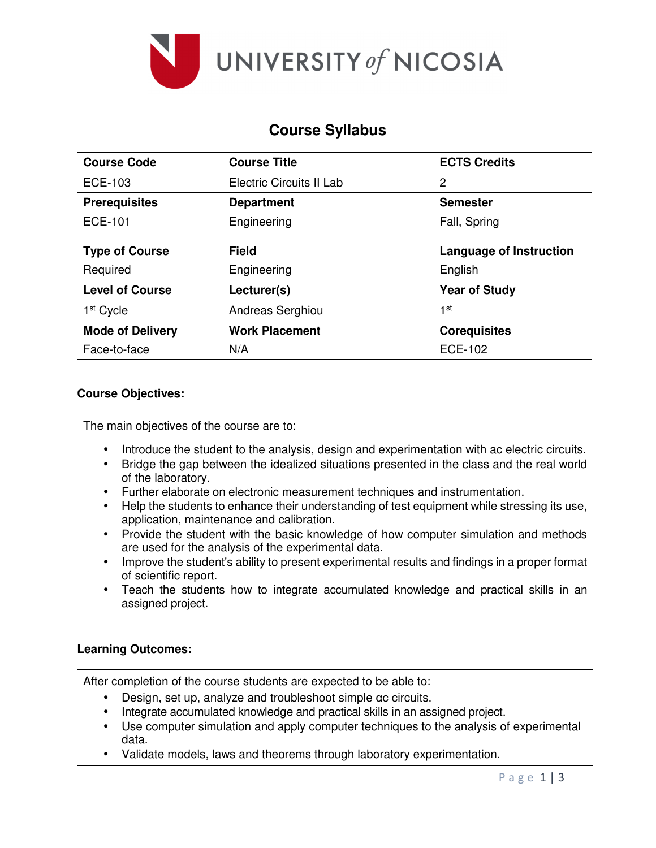

# **Course Syllabus**

| <b>Course Code</b>      | <b>Course Title</b>      | <b>ECTS Credits</b>            |
|-------------------------|--------------------------|--------------------------------|
| ECE-103                 | Electric Circuits II Lab | 2                              |
| <b>Prerequisites</b>    | <b>Department</b>        | <b>Semester</b>                |
| ECE-101                 | Engineering              | Fall, Spring                   |
|                         |                          |                                |
| <b>Type of Course</b>   | <b>Field</b>             | <b>Language of Instruction</b> |
| Required                | Engineering              | English                        |
| <b>Level of Course</b>  | Lecturer(s)              | <b>Year of Study</b>           |
| 1 <sup>st</sup> Cycle   | Andreas Serghiou         | 1 <sup>st</sup>                |
| <b>Mode of Delivery</b> | <b>Work Placement</b>    | <b>Corequisites</b>            |
| Face-to-face            | N/A                      | <b>ECE-102</b>                 |

#### **Course Objectives:**

The main objectives of the course are to:

- Introduce the student to the analysis, design and experimentation with ac electric circuits.
- Bridge the gap between the idealized situations presented in the class and the real world of the laboratory.
- Further elaborate on electronic measurement techniques and instrumentation.
- Help the students to enhance their understanding of test equipment while stressing its use, application, maintenance and calibration.
- Provide the student with the basic knowledge of how computer simulation and methods are used for the analysis of the experimental data.
- Improve the student's ability to present experimental results and findings in a proper format of scientific report.
- Teach the students how to integrate accumulated knowledge and practical skills in an assigned project.

### **Learning Outcomes:**

After completion of the course students are expected to be able to:

- Design, set up, analyze and troubleshoot simple αc circuits.
- Ιntegrate accumulated knowledge and practical skills in an assigned project.
- Use computer simulation and apply computer techniques to the analysis of experimental data.
- Validate models, laws and theorems through laboratory experimentation.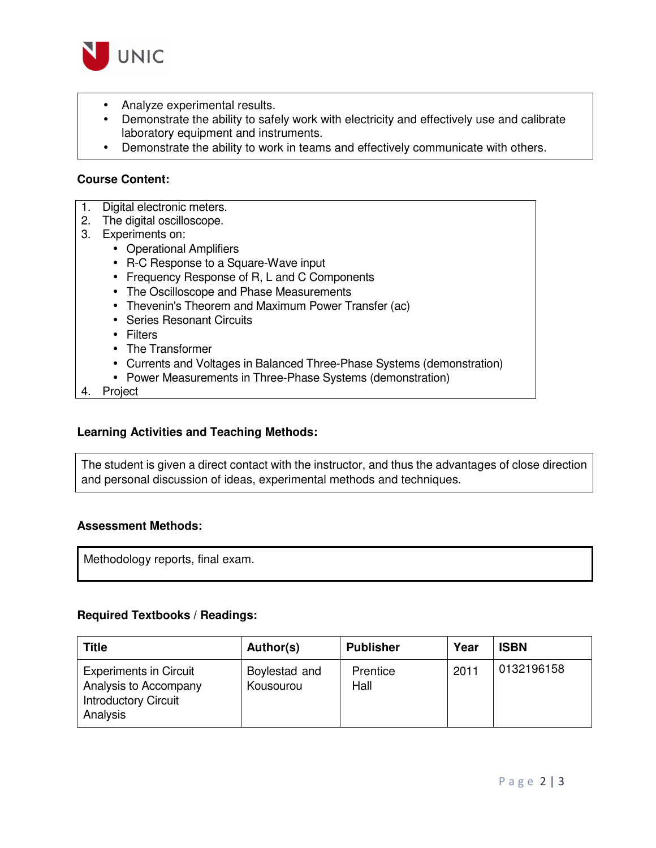

- Analyze experimental results.
- Demonstrate the ability to safely work with electricity and effectively use and calibrate laboratory equipment and instruments.
- Demonstrate the ability to work in teams and effectively communicate with others.

#### **Course Content:**

- 1. Digital electronic meters.
- 2. The digital oscilloscope.
- 3. Experiments on:
	- Operational Amplifiers
	- R-C Response to a Square-Wave input
	- Frequency Response of R, L and C Components
	- The Oscilloscope and Phase Measurements
	- Thevenin's Theorem and Maximum Power Transfer (ac)
	- Series Resonant Circuits
	- Filters
	- The Transformer
	- Currents and Voltages in Balanced Three-Phase Systems (demonstration)
	- Power Measurements in Three-Phase Systems (demonstration)
- 4. Project

#### **Learning Activities and Teaching Methods:**

The student is given a direct contact with the instructor, and thus the advantages of close direction and personal discussion of ideas, experimental methods and techniques.

#### **Assessment Methods:**

Methodology reports, final exam.

#### **Required Textbooks / Readings:**

| Title                                                                                             | Author(s)                  | <b>Publisher</b> | Year | <b>ISBN</b> |
|---------------------------------------------------------------------------------------------------|----------------------------|------------------|------|-------------|
| <b>Experiments in Circuit</b><br>Analysis to Accompany<br><b>Introductory Circuit</b><br>Analysis | Boylestad and<br>Kousourou | Prentice<br>Hall | 2011 | 0132196158  |